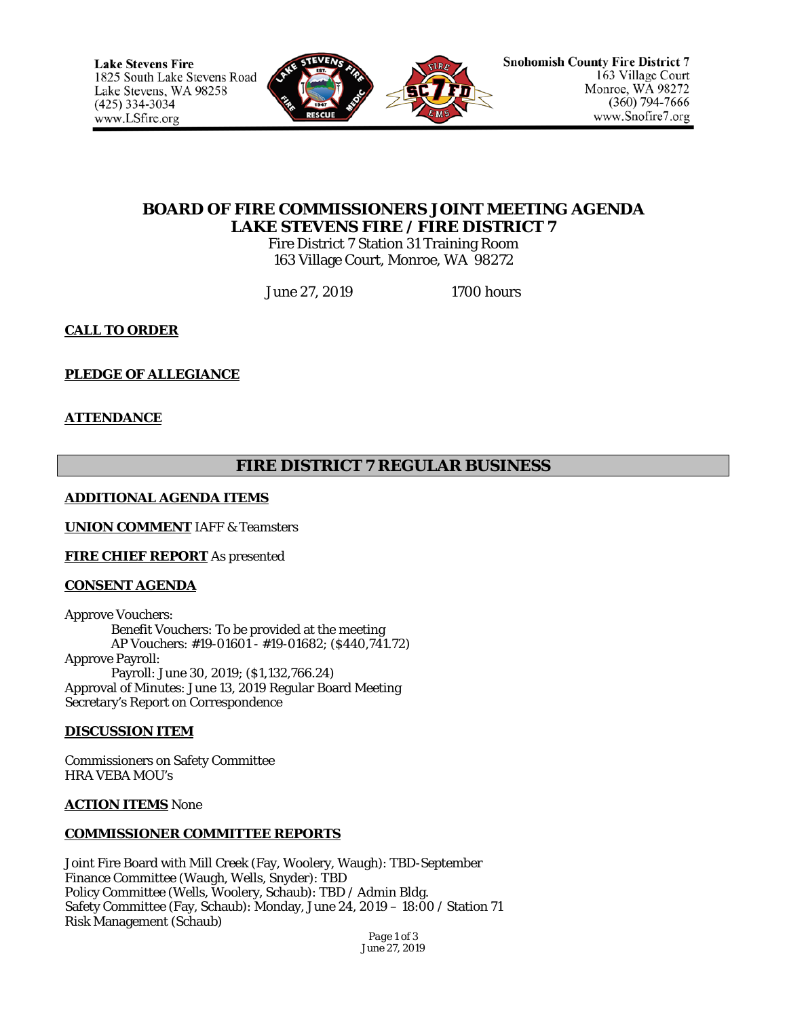

# **BOARD OF FIRE COMMISSIONERS JOINT MEETING AGENDA LAKE STEVENS FIRE / FIRE DISTRICT 7**

Fire District 7 Station 31 Training Room 163 Village Court, Monroe, WA 98272

June 27, 2019 1700 hours

**CALL TO ORDER**

# **PLEDGE OF ALLEGIANCE**

## **ATTENDANCE**

# **FIRE DISTRICT 7 REGULAR BUSINESS**

## **ADDITIONAL AGENDA ITEMS**

**UNION COMMENT** IAFF & Teamsters

**FIRE CHIEF REPORT** As presented

## **CONSENT AGENDA**

Approve Vouchers: Benefit Vouchers: To be provided at the meeting AP Vouchers: #19-01601 - #19-01682; (\$440,741.72) Approve Payroll: Payroll: June 30, 2019; (\$1,132,766.24) Approval of Minutes: June 13, 2019 Regular Board Meeting Secretary's Report on Correspondence

## **DISCUSSION ITEM**

Commissioners on Safety Committee HRA VEBA MOU's

#### **ACTION ITEMS** None

## **COMMISSIONER COMMITTEE REPORTS**

Joint Fire Board with Mill Creek (Fay, Woolery, Waugh): TBD-September Finance Committee (Waugh, Wells, Snyder): TBD Policy Committee (Wells, Woolery, Schaub): TBD / Admin Bldg. Safety Committee (Fay, Schaub): Monday, June 24, 2019 – 18:00 / Station 71 Risk Management (Schaub)

> *Page 1 of 3 June 27, 2019*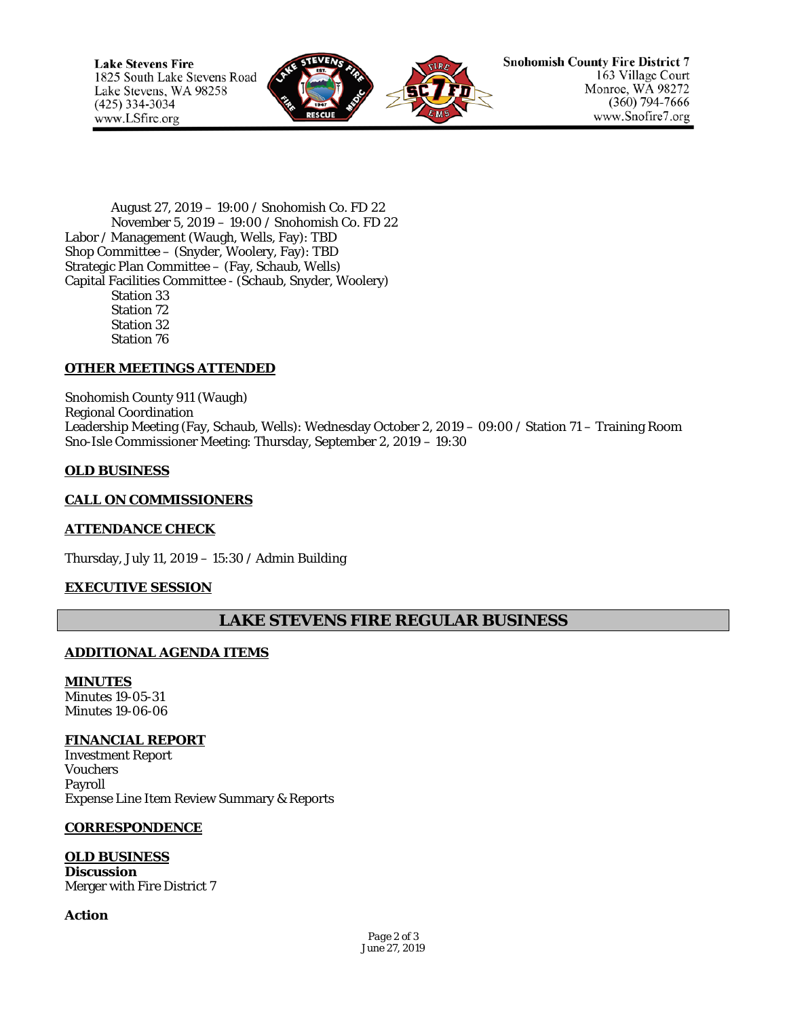

August 27, 2019 – 19:00 / Snohomish Co. FD 22 November 5, 2019 – 19:00 / Snohomish Co. FD 22 Labor / Management (Waugh, Wells, Fay): TBD Shop Committee – (Snyder, Woolery, Fay): TBD Strategic Plan Committee – (Fay, Schaub, Wells) Capital Facilities Committee - (Schaub, Snyder, Woolery) Station 33 Station 72 Station 32 Station 76

## **OTHER MEETINGS ATTENDED**

Snohomish County 911 (Waugh) Regional Coordination Leadership Meeting (Fay, Schaub, Wells): Wednesday October 2, 2019 – 09:00 / Station 71 – Training Room Sno-Isle Commissioner Meeting: Thursday, September 2, 2019 – 19:30

#### **OLD BUSINESS**

#### **CALL ON COMMISSIONERS**

#### **ATTENDANCE CHECK**

Thursday, July 11, 2019 – 15:30 / Admin Building

#### **EXECUTIVE SESSION**

# **LAKE STEVENS FIRE REGULAR BUSINESS**

#### **ADDITIONAL AGENDA ITEMS**

**MINUTES** Minutes 19-05-31 Minutes 19-06-06

#### **FINANCIAL REPORT**

Investment Report Vouchers Payroll Expense Line Item Review Summary & Reports

#### **CORRESPONDENCE**

## **OLD BUSINESS**

**Discussion** Merger with Fire District 7

#### **Action**